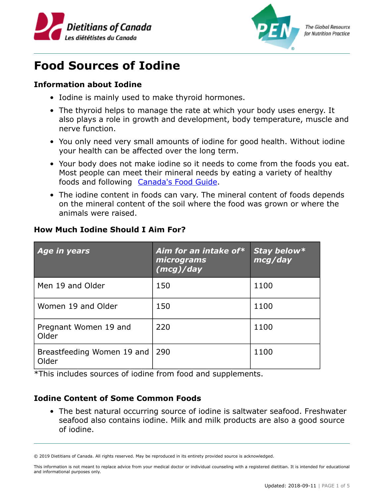



**The Global Resource** for Nutrition Practice

## **Food Sources of Iodine**

## **Information about Iodine**

- Iodine is mainly used to make thyroid hormones.
- The thyroid helps to manage the rate at which your body uses energy. It also plays a role in growth and development, body temperature, muscle and nerve function.
- You only need very small amounts of iodine for good health. Without iodine your health can be affected over the long term.
- Your body does not make iodine so it needs to come from the foods you eat. Most people can meet their mineral needs by eating a variety of healthy foods and following **[Canada's Food Guide](https://food-guide.canada.ca/).**
- The iodine content in foods can vary. The mineral content of foods depends on the mineral content of the soil where the food was grown or where the animals were raised.

| Age in years                        | Aim for an intake of*<br>micrograms<br>(mcg)/day | Stay below*<br>mcg/day |
|-------------------------------------|--------------------------------------------------|------------------------|
| Men 19 and Older                    | 150                                              | 1100                   |
| Women 19 and Older                  | 150                                              | 1100                   |
| Pregnant Women 19 and<br>Older      | 220                                              | 1100                   |
| Breastfeeding Women 19 and<br>Older | 290                                              | 1100                   |

## **How Much Iodine Should I Aim For?**

\*This includes sources of iodine from food and supplements.

## **Iodine Content of Some Common Foods**

• The best natural occurring source of iodine is saltwater seafood. Freshwater seafood also contains iodine. Milk and milk products are also a good source of iodine.

<sup>© 2019</sup> Dietitians of Canada. All rights reserved. May be reproduced in its entirety provided source is acknowledged.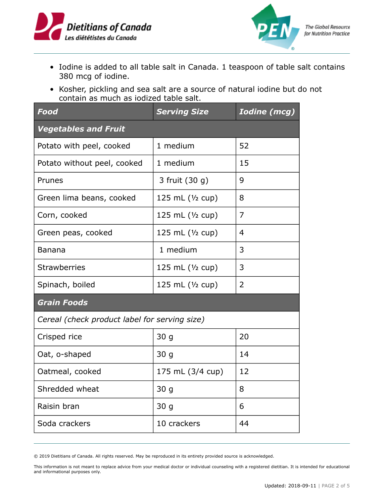



- Iodine is added to all table salt in Canada. 1 teaspoon of table salt contains 380 mcg of iodine.
- Kosher, pickling and sea salt are a source of natural iodine but do not contain as much as iodized table salt.

| Food                                          | <b>Serving Size</b>        | <b>Iodine</b> (mcg) |  |  |
|-----------------------------------------------|----------------------------|---------------------|--|--|
| <b>Vegetables and Fruit</b>                   |                            |                     |  |  |
| Potato with peel, cooked                      | 1 medium                   | 52                  |  |  |
| Potato without peel, cooked                   | 1 medium                   | 15                  |  |  |
| Prunes                                        | 3 fruit (30 g)             | 9                   |  |  |
| Green lima beans, cooked                      | 125 mL $(\frac{1}{2}$ cup) | 8                   |  |  |
| Corn, cooked                                  | 125 mL $(1/2$ cup)         | 7                   |  |  |
| Green peas, cooked                            | 125 mL (1/2 cup)           | 4                   |  |  |
| Banana                                        | 1 medium                   | 3                   |  |  |
| <b>Strawberries</b>                           | 125 mL (1/2 cup)           | 3                   |  |  |
| Spinach, boiled                               | 125 mL $(\frac{1}{2}$ cup) | 2                   |  |  |
| <b>Grain Foods</b>                            |                            |                     |  |  |
| Cereal (check product label for serving size) |                            |                     |  |  |
| Crisped rice                                  | 30 <sub>g</sub>            | 20                  |  |  |
| Oat, o-shaped                                 | 30 <sub>g</sub>            | 14                  |  |  |
| Oatmeal, cooked                               | 175 mL (3/4 cup)           | 12                  |  |  |
| Shredded wheat                                | 30 g                       | 8                   |  |  |
| Raisin bran                                   | 30 <sub>g</sub>            | 6                   |  |  |
| Soda crackers                                 | 10 crackers                | 44                  |  |  |

© 2019 Dietitians of Canada. All rights reserved. May be reproduced in its entirety provided source is acknowledged.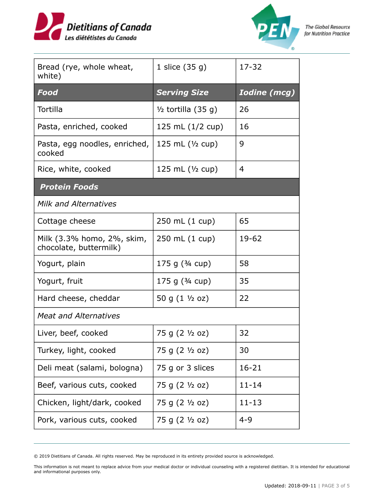



| Bread (rye, whole wheat,<br>white)                   | 1 slice $(35 g)$              | 17-32               |  |  |
|------------------------------------------------------|-------------------------------|---------------------|--|--|
| Food                                                 | <b>Serving Size</b>           | <b>Iodine (mcg)</b> |  |  |
| Tortilla                                             | $\frac{1}{2}$ tortilla (35 g) | 26                  |  |  |
| Pasta, enriched, cooked                              | 125 mL $(1/2$ cup)            | 16                  |  |  |
| Pasta, egg noodles, enriched,<br>cooked              | 125 mL $(\frac{1}{2}$ cup)    | 9                   |  |  |
| Rice, white, cooked                                  | 125 mL $(\frac{1}{2}$ cup)    | 4                   |  |  |
| <b>Protein Foods</b>                                 |                               |                     |  |  |
| <b>Milk and Alternatives</b>                         |                               |                     |  |  |
| Cottage cheese                                       | 250 mL (1 cup)                | 65                  |  |  |
| Milk (3.3% homo, 2%, skim,<br>chocolate, buttermilk) | 250 mL (1 cup)                | $19 - 62$           |  |  |
| Yogurt, plain                                        | 175 g $(3/4$ cup)             | 58                  |  |  |
| Yogurt, fruit                                        | 175 g $(3/4$ cup)             | 35                  |  |  |
| Hard cheese, cheddar                                 | 50 g $(1 \frac{1}{2}$ oz)     | 22                  |  |  |
| <b>Meat and Alternatives</b>                         |                               |                     |  |  |
| Liver, beef, cooked                                  | 75 g (2 1/2 oz)               | 32                  |  |  |
| Turkey, light, cooked                                | 75 g (2 1/2 oz)               | 30                  |  |  |
| Deli meat (salami, bologna)                          | 75 g or 3 slices              | $16 - 21$           |  |  |
| Beef, various cuts, cooked                           | 75 g (2 1/2 oz)               | $11 - 14$           |  |  |
| Chicken, light/dark, cooked                          | 75 g (2 ½ oz)                 | $11 - 13$           |  |  |
| Pork, various cuts, cooked                           | 75 g (2 1/2 oz)               | $4 - 9$             |  |  |

© 2019 Dietitians of Canada. All rights reserved. May be reproduced in its entirety provided source is acknowledged.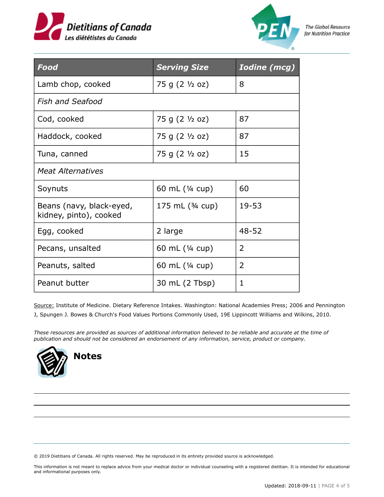



**The Global Resource** for Nutrition Practice

| <b>Food</b>                                        | <b>Serving Size</b> | <b>Iodine</b> (mcg) |
|----------------------------------------------------|---------------------|---------------------|
| Lamb chop, cooked                                  | 75 g (2 1/2 oz)     | 8                   |
| <b>Fish and Seafood</b>                            |                     |                     |
| Cod, cooked                                        | 75 g (2 1/2 oz)     | 87                  |
| Haddock, cooked                                    | 75 g (2 1/2 oz)     | 87                  |
| Tuna, canned                                       | 75 g (2 1/2 oz)     | 15                  |
| <b>Meat Alternatives</b>                           |                     |                     |
| Soynuts                                            | 60 mL (1/4 cup)     | 60                  |
| Beans (navy, black-eyed,<br>kidney, pinto), cooked | 175 mL $(3/4$ cup)  | 19-53               |
| Egg, cooked                                        | 2 large             | $48 - 52$           |
| Pecans, unsalted                                   | 60 mL (1/4 cup)     | 2                   |
| Peanuts, salted                                    | 60 mL (1/4 cup)     | $\overline{2}$      |
| Peanut butter                                      | 30 mL (2 Tbsp)      | 1                   |

Source: Institute of Medicine. Dietary Reference Intakes. Washington: National Academies Press; 2006 and Pennington

J, Spungen J. Bowes & Church's Food Values Portions Commonly Used, 19E Lippincott Williams and Wilkins, 2010.

*These resources are provided as sources of additional information believed to be reliable and accurate at the time of publication and should not be considered an endorsement of any information, service, product or company.*



© 2019 Dietitians of Canada. All rights reserved. May be reproduced in its entirety provided source is acknowledged.